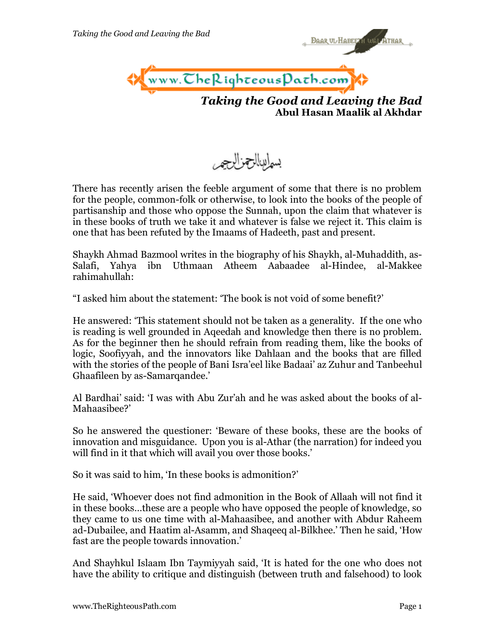

*Taking the Good and Leaving the Bad* **Abul Hasan Maalik al Akhdar**

**BAAR UL-HABEE AT UM** 



There has recently arisen the feeble argument of some that there is no problem for the people, common-folk or otherwise, to look into the books of the people of partisanship and those who oppose the Sunnah, upon the claim that whatever is in these books of truth we take it and whatever is false we reject it. This claim is one that has been refuted by the Imaams of Hadeeth, past and present.

Shaykh Ahmad Bazmool writes in the biography of his Shaykh, al-Muhaddith, as-Salafi, Yahya ibn Uthmaan Atheem Aabaadee al-Hindee, al-Makkee rahimahullah:

"I asked him about the statement: 'The book is not void of some benefit?'

He answered: 'This statement should not be taken as a generality. If the one who is reading is well grounded in Aqeedah and knowledge then there is no problem. As for the beginner then he should refrain from reading them, like the books of logic, Soofiyyah, and the innovators like Dahlaan and the books that are filled with the stories of the people of Bani Isra'eel like Badaai' az Zuhur and Tanbeehul Ghaafileen by as-Samarqandee.'

Al Bardhai' said: 'I was with Abu Zur'ah and he was asked about the books of al-Mahaasibee?'

So he answered the questioner: 'Beware of these books, these are the books of innovation and misguidance. Upon you is al-Athar (the narration) for indeed you will find in it that which will avail you over those books.'

So it was said to him, 'In these books is admonition?'

He said, 'Whoever does not find admonition in the Book of Allaah will not find it in these books…these are a people who have opposed the people of knowledge, so they came to us one time with al-Mahaasibee, and another with Abdur Raheem ad-Dubailee, and Haatim al-Asamm, and Shaqeeq al-Bilkhee.' Then he said, 'How fast are the people towards innovation.'

And Shayhkul Islaam Ibn Taymiyyah said, 'It is hated for the one who does not have the ability to critique and distinguish (between truth and falsehood) to look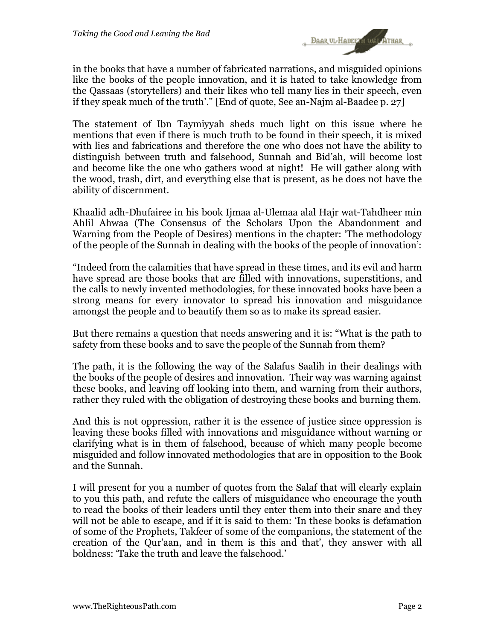

in the books that have a number of fabricated narrations, and misguided opinions like the books of the people innovation, and it is hated to take knowledge from the Qassaas (storytellers) and their likes who tell many lies in their speech, even if they speak much of the truth'." [End of quote, See an-Najm al-Baadee p. 27]

The statement of Ibn Taymiyyah sheds much light on this issue where he mentions that even if there is much truth to be found in their speech, it is mixed with lies and fabrications and therefore the one who does not have the ability to distinguish between truth and falsehood, Sunnah and Bid'ah, will become lost and become like the one who gathers wood at night! He will gather along with the wood, trash, dirt, and everything else that is present, as he does not have the ability of discernment.

Khaalid adh-Dhufairee in his book Ijmaa al-Ulemaa alal Hajr wat-Tahdheer min Ahlil Ahwaa (The Consensus of the Scholars Upon the Abandonment and Warning from the People of Desires) mentions in the chapter: 'The methodology of the people of the Sunnah in dealing with the books of the people of innovation':

"Indeed from the calamities that have spread in these times, and its evil and harm have spread are those books that are filled with innovations, superstitions, and the calls to newly invented methodologies, for these innovated books have been a strong means for every innovator to spread his innovation and misguidance amongst the people and to beautify them so as to make its spread easier.

But there remains a question that needs answering and it is: "What is the path to safety from these books and to save the people of the Sunnah from them?

The path, it is the following the way of the Salafus Saalih in their dealings with the books of the people of desires and innovation. Their way was warning against these books, and leaving off looking into them, and warning from their authors, rather they ruled with the obligation of destroying these books and burning them.

And this is not oppression, rather it is the essence of justice since oppression is leaving these books filled with innovations and misguidance without warning or clarifying what is in them of falsehood, because of which many people become misguided and follow innovated methodologies that are in opposition to the Book and the Sunnah.

I will present for you a number of quotes from the Salaf that will clearly explain to you this path, and refute the callers of misguidance who encourage the youth to read the books of their leaders until they enter them into their snare and they will not be able to escape, and if it is said to them: 'In these books is defamation of some of the Prophets, Takfeer of some of the companions, the statement of the creation of the Qur'aan, and in them is this and that', they answer with all boldness: 'Take the truth and leave the falsehood.'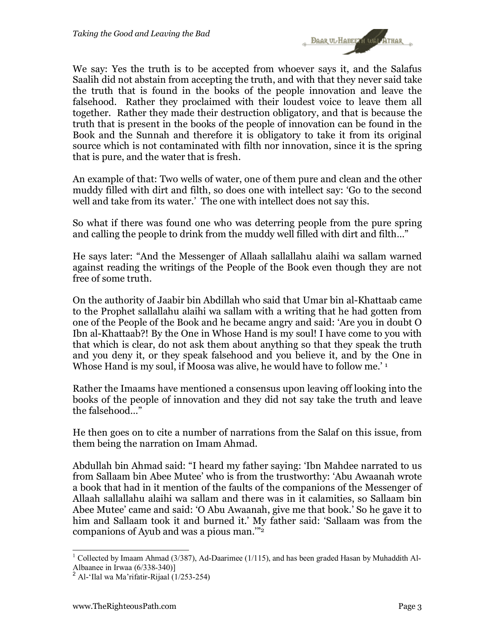

We say: Yes the truth is to be accepted from whoever says it, and the Salafus Saalih did not abstain from accepting the truth, and with that they never said take the truth that is found in the books of the people innovation and leave the falsehood. Rather they proclaimed with their loudest voice to leave them all together. Rather they made their destruction obligatory, and that is because the truth that is present in the books of the people of innovation can be found in the Book and the Sunnah and therefore it is obligatory to take it from its original source which is not contaminated with filth nor innovation, since it is the spring that is pure, and the water that is fresh.

An example of that: Two wells of water, one of them pure and clean and the other muddy filled with dirt and filth, so does one with intellect say: 'Go to the second well and take from its water.' The one with intellect does not say this.

So what if there was found one who was deterring people from the pure spring and calling the people to drink from the muddy well filled with dirt and filth…"

He says later: "And the Messenger of Allaah sallallahu alaihi wa sallam warned against reading the writings of the People of the Book even though they are not free of some truth.

On the authority of Jaabir bin Abdillah who said that Umar bin al-Khattaab came to the Prophet sallallahu alaihi wa sallam with a writing that he had gotten from one of the People of the Book and he became angry and said: 'Are you in doubt O Ibn al-Khattaab?! By the One in Whose Hand is my soul! I have come to you with that which is clear, do not ask them about anything so that they speak the truth and you deny it, or they speak falsehood and you believe it, and by the One in Whose Hand is my soul, if Moosa was alive, he would have to follow me.' 1

Rather the Imaams have mentioned a consensus upon leaving off looking into the books of the people of innovation and they did not say take the truth and leave the falsehood…"

He then goes on to cite a number of narrations from the Salaf on this issue, from them being the narration on Imam Ahmad.

Abdullah bin Ahmad said: "I heard my father saying: 'Ibn Mahdee narrated to us from Sallaam bin Abee Mutee' who is from the trustworthy: 'Abu Awaanah wrote a book that had in it mention of the faults of the companions of the Messenger of Allaah sallallahu alaihi wa sallam and there was in it calamities, so Sallaam bin Abee Mutee' came and said: 'O Abu Awaanah, give me that book.' So he gave it to him and Sallaam took it and burned it.' My father said: 'Sallaam was from the companions of Ayub and was a pious man.'"2

l

<sup>&</sup>lt;sup>1</sup> Collected by Imaam Ahmad (3/387), Ad-Daarimee (1/115), and has been graded Hasan by Muhaddith Al-Albaanee in Irwaa (6/338-340)]

<sup>&</sup>lt;sup>2</sup> Al-'Ilal wa Ma'rifatir-Rijaal (1/253-254)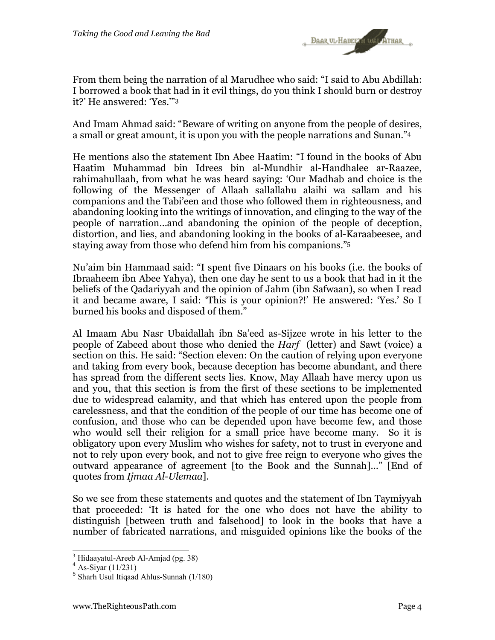

From them being the narration of al Marudhee who said: "I said to Abu Abdillah: I borrowed a book that had in it evil things, do you think I should burn or destroy it?' He answered: 'Yes.'"3

And Imam Ahmad said: "Beware of writing on anyone from the people of desires, a small or great amount, it is upon you with the people narrations and Sunan."4

He mentions also the statement Ibn Abee Haatim: "I found in the books of Abu Haatim Muhammad bin Idrees bin al-Mundhir al-Handhalee ar-Raazee, rahimahullaah, from what he was heard saying: 'Our Madhab and choice is the following of the Messenger of Allaah sallallahu alaihi wa sallam and his companions and the Tabi'een and those who followed them in righteousness, and abandoning looking into the writings of innovation, and clinging to the way of the people of narration…and abandoning the opinion of the people of deception, distortion, and lies, and abandoning looking in the books of al-Karaabeesee, and staying away from those who defend him from his companions."5

Nu'aim bin Hammaad said: "I spent five Dinaars on his books (i.e. the books of Ibraaheem ibn Abee Yahya), then one day he sent to us a book that had in it the beliefs of the Qadariyyah and the opinion of Jahm (ibn Safwaan), so when I read it and became aware, I said: 'This is your opinion?!' He answered: 'Yes.' So I burned his books and disposed of them."

Al Imaam Abu Nasr Ubaidallah ibn Sa'eed as-Sijzee wrote in his letter to the people of Zabeed about those who denied the *Harf* (letter) and Sawt (voice) a section on this. He said: "Section eleven: On the caution of relying upon everyone and taking from every book, because deception has become abundant, and there has spread from the different sects lies. Know, May Allaah have mercy upon us and you, that this section is from the first of these sections to be implemented due to widespread calamity, and that which has entered upon the people from carelessness, and that the condition of the people of our time has become one of confusion, and those who can be depended upon have become few, and those who would sell their religion for a small price have become many. So it is obligatory upon every Muslim who wishes for safety, not to trust in everyone and not to rely upon every book, and not to give free reign to everyone who gives the outward appearance of agreement [to the Book and the Sunnah]…" [End of quotes from *Ijmaa Al-Ulemaa*].

So we see from these statements and quotes and the statement of Ibn Taymiyyah that proceeded: 'It is hated for the one who does not have the ability to distinguish [between truth and falsehood] to look in the books that have a number of fabricated narrations, and misguided opinions like the books of the

 3 Hidaayatul-Areeb Al-Amjad (pg. 38)

 $4$  As-Siyar (11/231)

<sup>5</sup> Sharh Usul Itiqaad Ahlus-Sunnah (1/180)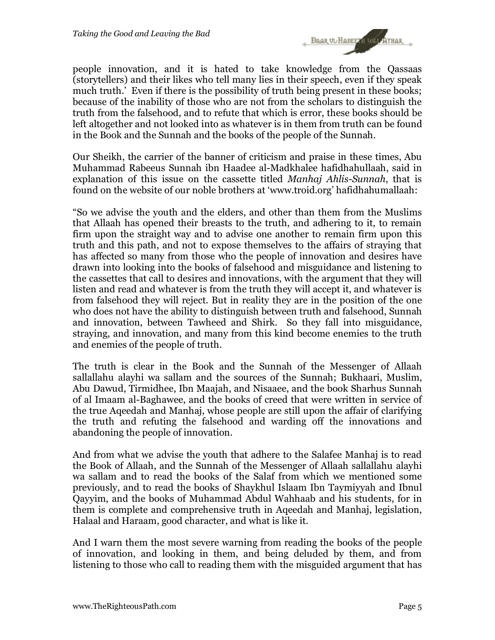

people innovation, and it is hated to take knowledge from the Qassaas (storytellers) and their likes who tell many lies in their speech, even if they speak much truth.' Even if there is the possibility of truth being present in these books; because of the inability of those who are not from the scholars to distinguish the truth from the falsehood, and to refute that which is error, these books should be left altogether and not looked into as whatever is in them from truth can be found in the Book and the Sunnah and the books of the people of the Sunnah.

Our Sheikh, the carrier of the banner of criticism and praise in these times, Abu Muhammad Rabeeus Sunnah ibn Haadee al-Madkhalee hafidhahullaah, said in explanation of this issue on the cassette titled *Manhaj Ahlis-Sunnah*, that is found on the website of our noble brothers at 'www.troid.org' hafidhahumallaah:

"So we advise the youth and the elders, and other than them from the Muslims that Allaah has opened their breasts to the truth, and adhering to it, to remain firm upon the straight way and to advise one another to remain firm upon this truth and this path, and not to expose themselves to the affairs of straying that has affected so many from those who the people of innovation and desires have drawn into looking into the books of falsehood and misguidance and listening to the cassettes that call to desires and innovations, with the argument that they will listen and read and whatever is from the truth they will accept it, and whatever is from falsehood they will reject. But in reality they are in the position of the one who does not have the ability to distinguish between truth and falsehood, Sunnah and innovation, between Tawheed and Shirk. So they fall into misguidance, straying, and innovation, and many from this kind become enemies to the truth and enemies of the people of truth.

The truth is clear in the Book and the Sunnah of the Messenger of Allaah sallallahu alayhi wa sallam and the sources of the Sunnah; Bukhaari, Muslim, Abu Dawud, Tirmidhee, Ibn Maajah, and Nisaaee, and the book Sharhus Sunnah of al Imaam al-Baghawee, and the books of creed that were written in service of the true Aqeedah and Manhaj, whose people are still upon the affair of clarifying the truth and refuting the falsehood and warding off the innovations and abandoning the people of innovation.

And from what we advise the youth that adhere to the Salafee Manhaj is to read the Book of Allaah, and the Sunnah of the Messenger of Allaah sallallahu alayhi wa sallam and to read the books of the Salaf from which we mentioned some previously, and to read the books of Shaykhul Islaam Ibn Taymiyyah and Ibnul Qayyim, and the books of Muhammad Abdul Wahhaab and his students, for in them is complete and comprehensive truth in Aqeedah and Manhaj, legislation, Halaal and Haraam, good character, and what is like it.

And I warn them the most severe warning from reading the books of the people of innovation, and looking in them, and being deluded by them, and from listening to those who call to reading them with the misguided argument that has